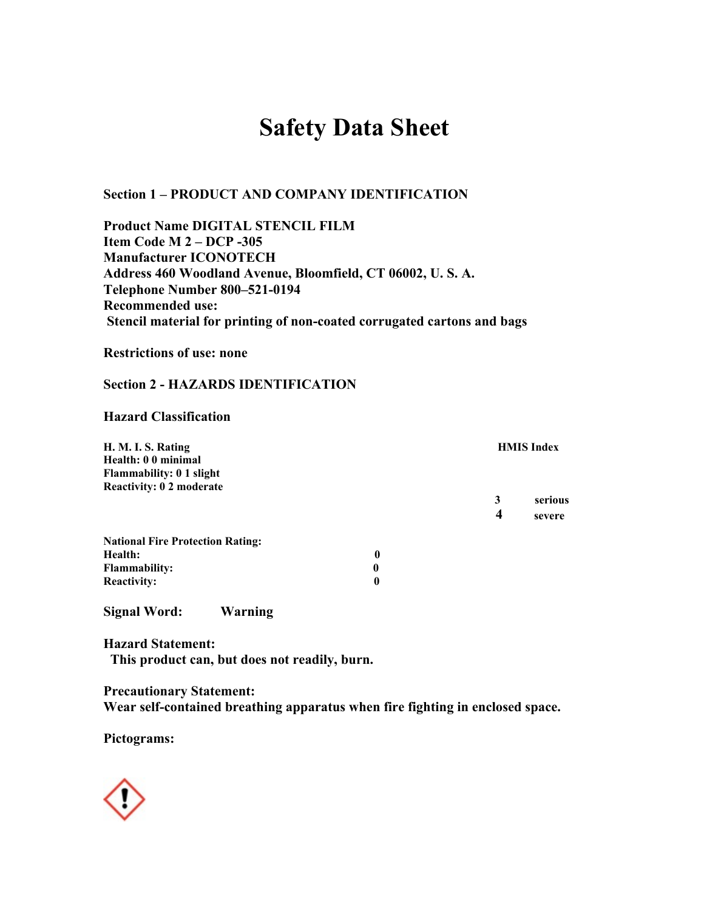# **Safety Data Sheet**

**Section 1 – PRODUCT AND COMPANY IDENTIFICATION** 

**Product Name DIGITAL STENCIL FILM Item Code M 2 – DCP -305 Manufacturer ICONOTECH Address 460 Woodland Avenue, Bloomfield, CT 06002, U. S. A. Telephone Number 800–521-0194 Recommended use: Stencil material for printing of non-coated corrugated cartons and bags** 

**Restrictions of use: none** 

## **Section 2 - HAZARDS IDENTIFICATION**

#### **Hazard Classification**

| H. M. I. S. Rating<br>Health: 00 minimal |   |   | <b>HMIS</b> Index |
|------------------------------------------|---|---|-------------------|
| <b>Flammability: 0 1 slight</b>          |   |   |                   |
| <b>Reactivity: 0 2 moderate</b>          |   |   |                   |
|                                          |   | 3 | serious           |
|                                          |   | 4 | severe            |
| <b>National Fire Protection Rating:</b>  |   |   |                   |
| Health:                                  | 0 |   |                   |
| <b>Flammability:</b>                     | 0 |   |                   |
| <b>Reactivity:</b>                       | 0 |   |                   |

**Signal Word: Warning** 

**Hazard Statement: This product can, but does not readily, burn.** 

**Precautionary Statement: Wear self-contained breathing apparatus when fire fighting in enclosed space.** 

**Pictograms:** 

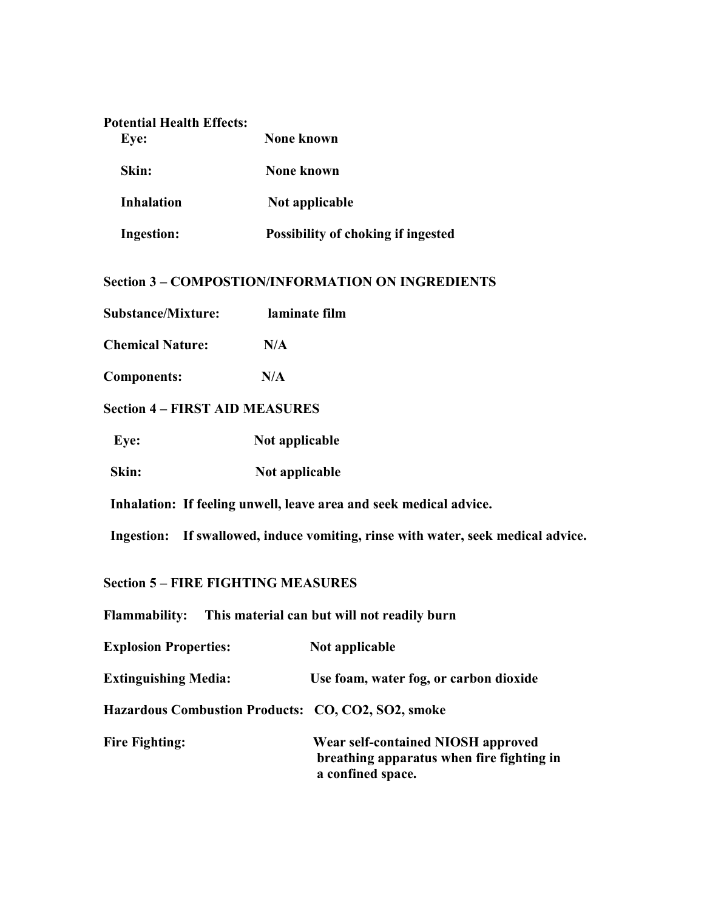| <b>Potential Health Effects:</b><br>Eye: | <b>None known</b>                         |
|------------------------------------------|-------------------------------------------|
| Skin:                                    | None known                                |
| <b>Inhalation</b>                        | Not applicable                            |
| <b>Ingestion:</b>                        | <b>Possibility of choking if ingested</b> |

# **Section 3 – COMPOSTION/INFORMATION ON INGREDIENTS**

| laminate film<br><b>Substance/Mixture:</b> |  |
|--------------------------------------------|--|
|--------------------------------------------|--|

| <b>Chemical Nature:</b> | N/A |
|-------------------------|-----|
|                         |     |

**Components: N/A** 

## **Section 4 – FIRST AID MEASURES**

| Eye:  | Not applicable |
|-------|----------------|
| Skin: | Not applicable |

 **Inhalation: If feeling unwell, leave area and seek medical advice.** 

 **Ingestion: If swallowed, induce vomiting, rinse with water, seek medical advice.** 

# **Section 5 – FIRE FIGHTING MEASURES**

| <b>Flammability:</b>                               | This material can but will not readily burn                                                          |
|----------------------------------------------------|------------------------------------------------------------------------------------------------------|
| <b>Explosion Properties:</b>                       | Not applicable                                                                                       |
| <b>Extinguishing Media:</b>                        | Use foam, water fog, or carbon dioxide                                                               |
| Hazardous Combustion Products: CO, CO2, SO2, smoke |                                                                                                      |
| <b>Fire Fighting:</b>                              | Wear self-contained NIOSH approved<br>breathing apparatus when fire fighting in<br>a confined space. |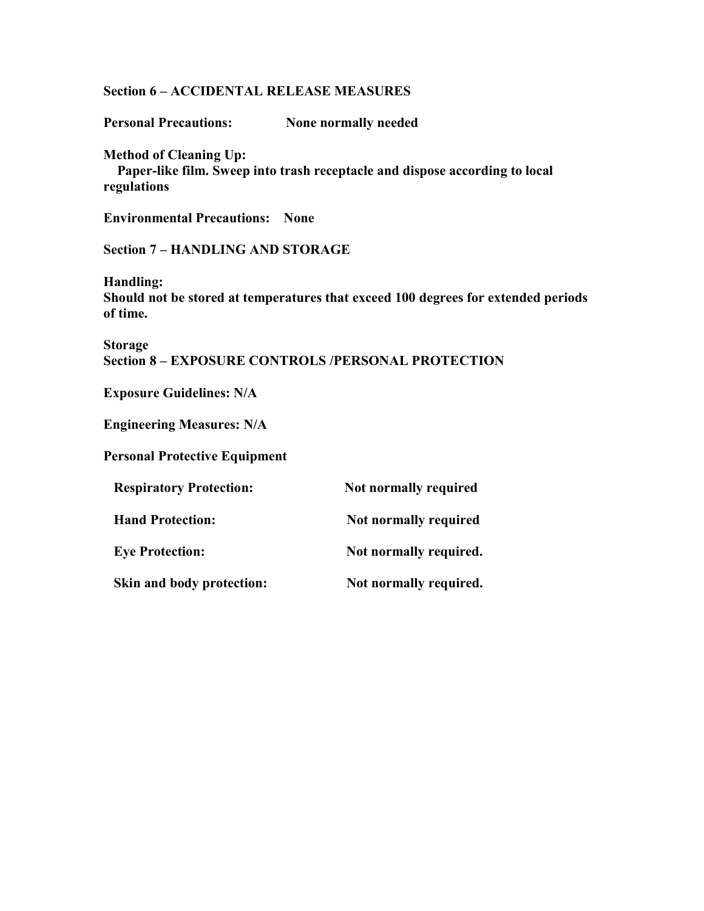#### **Section 6 – ACCIDENTAL RELEASE MEASURES**

**Personal Precautions: None normally needed** 

**Method of Cleaning Up:** 

 **Paper-like film. Sweep into trash receptacle and dispose according to local regulations** 

**Environmental Precautions: None** 

**Section 7 – HANDLING AND STORAGE** 

**Handling: Should not be stored at temperatures that exceed 100 degrees for extended periods of time.** 

**Storage Section 8 – EXPOSURE CONTROLS /PERSONAL PROTECTION** 

**Exposure Guidelines: N/A** 

**Engineering Measures: N/A** 

**Personal Protective Equipment** 

| <b>Respiratory Protection:</b> | Not normally required  |
|--------------------------------|------------------------|
| <b>Hand Protection:</b>        | Not normally required  |
| <b>Eye Protection:</b>         | Not normally required. |
| Skin and body protection:      | Not normally required. |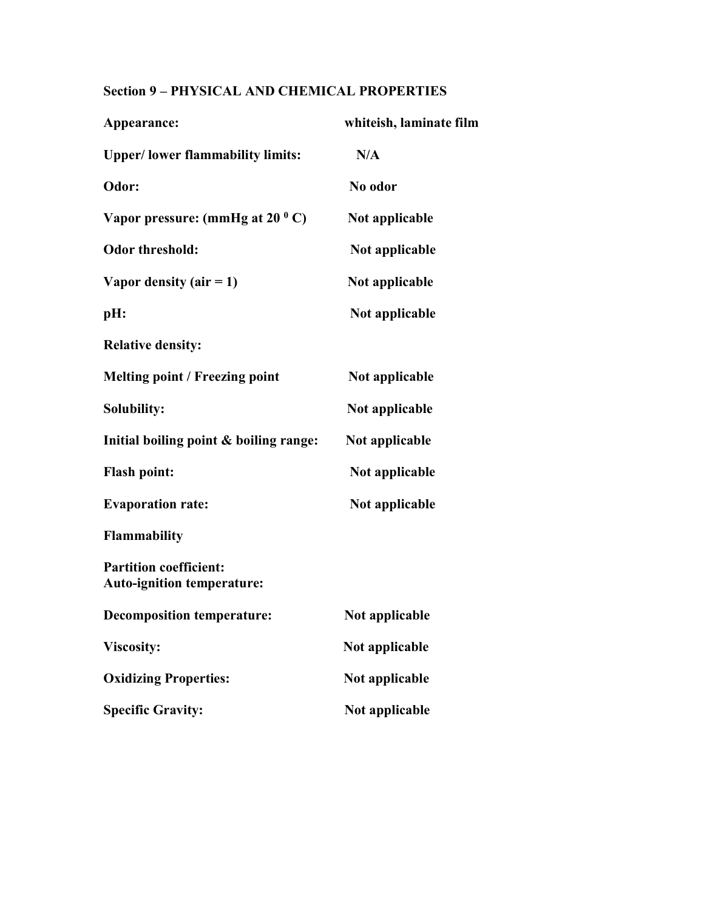# **Section 9 – PHYSICAL AND CHEMICAL PROPERTIES**

| Appearance:                                                        | whiteish, laminate film |
|--------------------------------------------------------------------|-------------------------|
| <b>Upper/lower flammability limits:</b>                            | N/A                     |
| Odor:                                                              | No odor                 |
| Vapor pressure: (mmHg at $20^{\circ}$ C)                           | Not applicable          |
| <b>Odor threshold:</b>                                             | Not applicable          |
| Vapor density (air $= 1$ )                                         | Not applicable          |
| pH:                                                                | Not applicable          |
| <b>Relative density:</b>                                           |                         |
| <b>Melting point / Freezing point</b>                              | Not applicable          |
| Solubility:                                                        | Not applicable          |
| Initial boiling point & boiling range:                             | Not applicable          |
| <b>Flash point:</b>                                                | Not applicable          |
| <b>Evaporation rate:</b>                                           | Not applicable          |
| <b>Flammability</b>                                                |                         |
| <b>Partition coefficient:</b><br><b>Auto-ignition temperature:</b> |                         |
| <b>Decomposition temperature:</b>                                  | Not applicable          |
| <b>Viscosity:</b>                                                  | Not applicable          |
| <b>Oxidizing Properties:</b>                                       | Not applicable          |
| <b>Specific Gravity:</b>                                           | Not applicable          |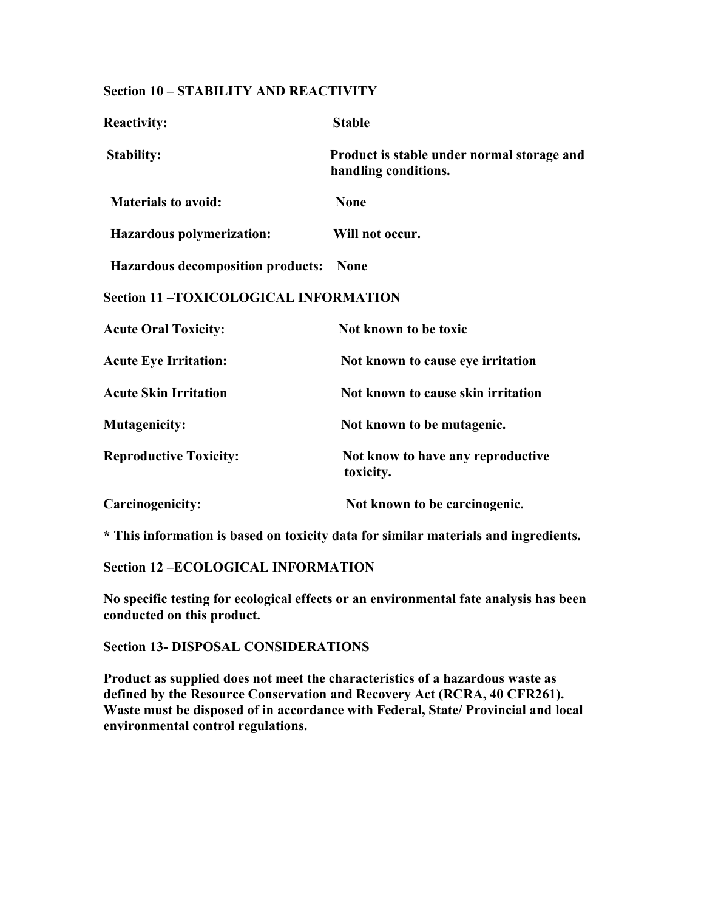#### **Section 10 – STABILITY AND REACTIVITY**

| <b>Reactivity:</b>                          | <b>Stable</b>                                                      |
|---------------------------------------------|--------------------------------------------------------------------|
| <b>Stability:</b>                           | Product is stable under normal storage and<br>handling conditions. |
| <b>Materials to avoid:</b>                  | <b>None</b>                                                        |
| <b>Hazardous polymerization:</b>            | Will not occur.                                                    |
| <b>Hazardous decomposition products:</b>    | <b>None</b>                                                        |
| <b>Section 11-TOXICOLOGICAL INFORMATION</b> |                                                                    |
| <b>Acute Oral Toxicity:</b>                 | Not known to be toxic                                              |
| <b>Acute Eye Irritation:</b>                | Not known to cause eye irritation                                  |
| <b>Acute Skin Irritation</b>                | Not known to cause skin irritation                                 |
| <b>Mutagenicity:</b>                        | Not known to be mutagenic.                                         |
| <b>Reproductive Toxicity:</b>               | Not know to have any reproductive<br>toxicity.                     |
| Carcinogenicity:                            | Not known to be carcinogenic.                                      |

**\* This information is based on toxicity data for similar materials and ingredients.** 

**Section 12 –ECOLOGICAL INFORMATION** 

**No specific testing for ecological effects or an environmental fate analysis has been conducted on this product.** 

**Section 13- DISPOSAL CONSIDERATIONS** 

**Product as supplied does not meet the characteristics of a hazardous waste as defined by the Resource Conservation and Recovery Act (RCRA, 40 CFR261). Waste must be disposed of in accordance with Federal, State/ Provincial and local environmental control regulations.**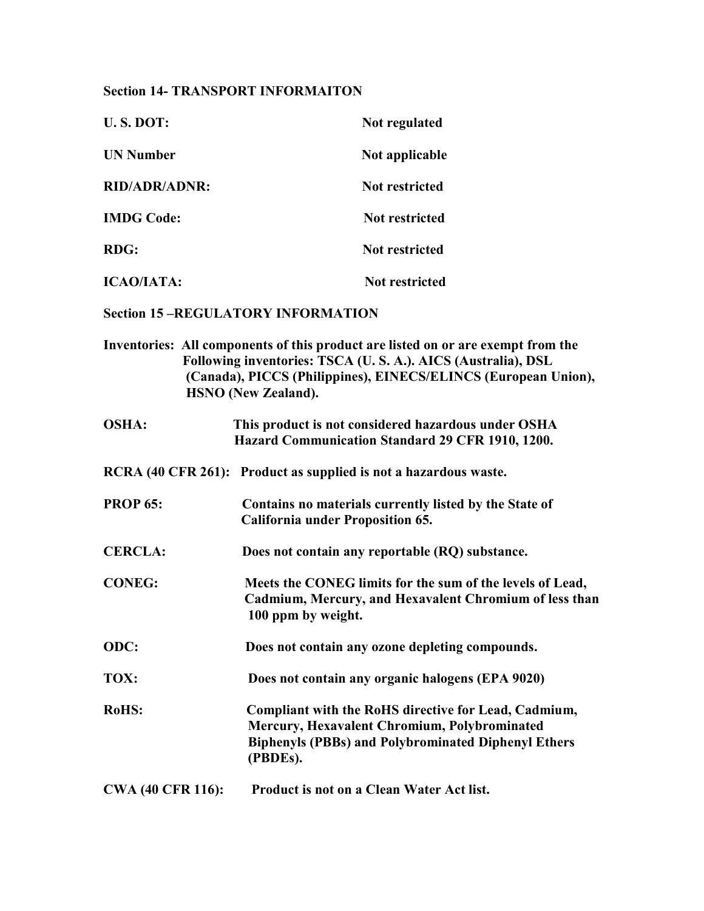#### **Section 14- TRANSPORT INFORMAITON**

| <b>U.S. DOT:</b>     | Not regulated         |
|----------------------|-----------------------|
| <b>UN Number</b>     | Not applicable        |
| <b>RID/ADR/ADNR:</b> | <b>Not restricted</b> |
| <b>IMDG Code:</b>    | Not restricted        |
| <b>RDG:</b>          | <b>Not restricted</b> |
| <b>ICAO/IATA:</b>    | <b>Not restricted</b> |

**Section 15 –REGULATORY INFORMATION** 

- **Inventories: All components of this product are listed on or are exempt from the Following inventories: TSCA (U. S. A.). AICS (Australia), DSL (Canada), PICCS (Philippines), EINECS/ELINCS (European Union), HSNO (New Zealand). OSHA: This product is not considered hazardous under OSHA Hazard Communication Standard 29 CFR 1910, 1200. RCRA (40 CFR 261): Product as supplied is not a hazardous waste. PROP 65: Contains no materials currently listed by the State of California under Proposition 65. CERCLA: Does not contain any reportable (RQ) substance. CONEG: Meets the CONEG limits for the sum of the levels of Lead, Cadmium, Mercury, and Hexavalent Chromium of less than 100 ppm by weight. ODC: Does not contain any ozone depleting compounds. TOX: Does not contain any organic halogens (EPA 9020) RoHS: Compliant with the RoHS directive for Lead, Cadmium, Mercury, Hexavalent Chromium, Polybrominated Biphenyls (PBBs) and Polybrominated Diphenyl Ethers (PBDEs).**
- **CWA (40 CFR 116): Product is not on a Clean Water Act list.**